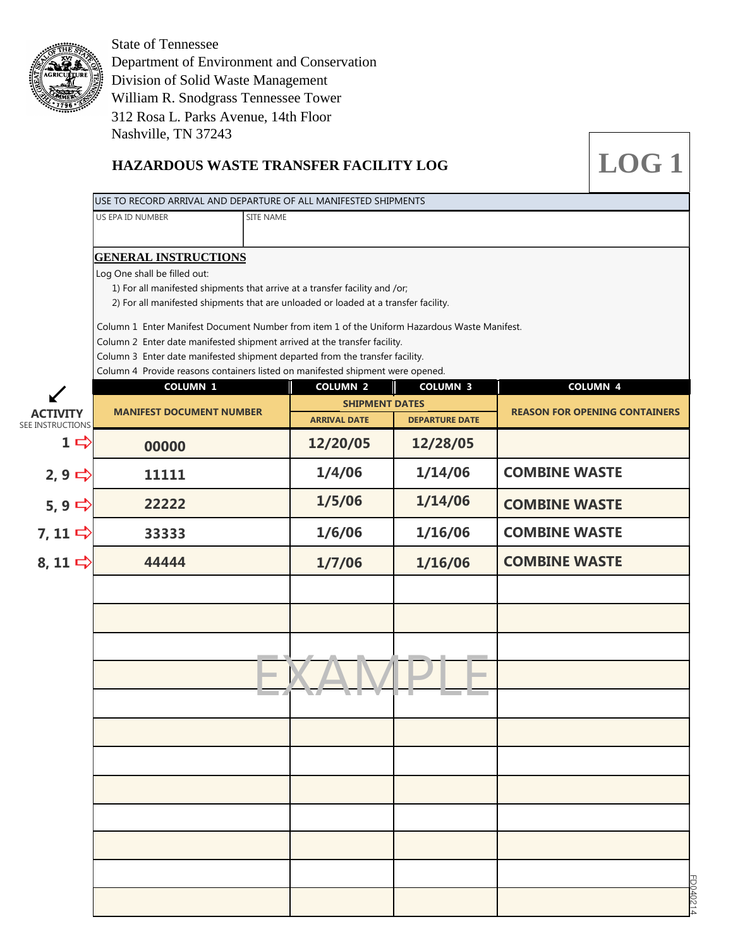

Department of Environment and Conservation Division of Solid Waste Management State of Tennessee William R. Snodgrass Tennessee Tower Nashville, TN 37243 312 Rosa L. Parks Avenue, 14th Floor

# **HAZARDOUS WASTE TRANSFER FACILITY LOG**

| US EPA ID NUMBER<br>SITE NAME<br><b>GENERAL INSTRUCTIONS</b><br>Log One shall be filled out:<br>1) For all manifested shipments that arrive at a transfer facility and /or;<br>2) For all manifested shipments that are unloaded or loaded at a transfer facility.<br>Column 1 Enter Manifest Document Number from item 1 of the Uniform Hazardous Waste Manifest.<br>Column 2 Enter date manifested shipment arrived at the transfer facility.<br>Column 3 Enter date manifested shipment departed from the transfer facility.<br>Column 4 Provide reasons containers listed on manifested shipment were opened.<br><b>COLUMN 2</b><br><b>COLUMN 3</b><br><b>COLUMN 1</b><br><b>COLUMN 4</b><br><b>SHIPMENT DATES</b><br><b>MANIFEST DOCUMENT NUMBER</b><br><b>ACTIVITY</b><br><b>ARRIVAL DATE</b><br><b>DEPARTURE DATE</b><br><b>SEE INSTRUCTIONS</b><br>$1$ $\Rightarrow$<br>12/20/05<br>12/28/05<br>00000<br>1/4/06<br>1/14/06<br><b>COMBINE WASTE</b><br>2, 9<br>11111<br>1/5/06<br>1/14/06<br>5,9 $\Rightarrow$<br>22222<br><b>COMBINE WASTE</b><br>7, 11 $\Rightarrow$<br>1/6/06<br>1/16/06<br><b>COMBINE WASTE</b><br>33333<br><b>COMBINE WASTE</b><br>8, 11 $\Rightarrow$<br>44444<br>1/7/06<br>1/16/06 |                                      |  |  | USE TO RECORD ARRIVAL AND DEPARTURE OF ALL MANIFESTED SHIPMENTS |  |
|------------------------------------------------------------------------------------------------------------------------------------------------------------------------------------------------------------------------------------------------------------------------------------------------------------------------------------------------------------------------------------------------------------------------------------------------------------------------------------------------------------------------------------------------------------------------------------------------------------------------------------------------------------------------------------------------------------------------------------------------------------------------------------------------------------------------------------------------------------------------------------------------------------------------------------------------------------------------------------------------------------------------------------------------------------------------------------------------------------------------------------------------------------------------------------------------------------------|--------------------------------------|--|--|-----------------------------------------------------------------|--|
|                                                                                                                                                                                                                                                                                                                                                                                                                                                                                                                                                                                                                                                                                                                                                                                                                                                                                                                                                                                                                                                                                                                                                                                                                  |                                      |  |  |                                                                 |  |
|                                                                                                                                                                                                                                                                                                                                                                                                                                                                                                                                                                                                                                                                                                                                                                                                                                                                                                                                                                                                                                                                                                                                                                                                                  |                                      |  |  |                                                                 |  |
|                                                                                                                                                                                                                                                                                                                                                                                                                                                                                                                                                                                                                                                                                                                                                                                                                                                                                                                                                                                                                                                                                                                                                                                                                  |                                      |  |  |                                                                 |  |
|                                                                                                                                                                                                                                                                                                                                                                                                                                                                                                                                                                                                                                                                                                                                                                                                                                                                                                                                                                                                                                                                                                                                                                                                                  |                                      |  |  |                                                                 |  |
|                                                                                                                                                                                                                                                                                                                                                                                                                                                                                                                                                                                                                                                                                                                                                                                                                                                                                                                                                                                                                                                                                                                                                                                                                  |                                      |  |  |                                                                 |  |
|                                                                                                                                                                                                                                                                                                                                                                                                                                                                                                                                                                                                                                                                                                                                                                                                                                                                                                                                                                                                                                                                                                                                                                                                                  |                                      |  |  |                                                                 |  |
|                                                                                                                                                                                                                                                                                                                                                                                                                                                                                                                                                                                                                                                                                                                                                                                                                                                                                                                                                                                                                                                                                                                                                                                                                  |                                      |  |  |                                                                 |  |
|                                                                                                                                                                                                                                                                                                                                                                                                                                                                                                                                                                                                                                                                                                                                                                                                                                                                                                                                                                                                                                                                                                                                                                                                                  |                                      |  |  |                                                                 |  |
|                                                                                                                                                                                                                                                                                                                                                                                                                                                                                                                                                                                                                                                                                                                                                                                                                                                                                                                                                                                                                                                                                                                                                                                                                  |                                      |  |  |                                                                 |  |
|                                                                                                                                                                                                                                                                                                                                                                                                                                                                                                                                                                                                                                                                                                                                                                                                                                                                                                                                                                                                                                                                                                                                                                                                                  | <b>REASON FOR OPENING CONTAINERS</b> |  |  |                                                                 |  |
|                                                                                                                                                                                                                                                                                                                                                                                                                                                                                                                                                                                                                                                                                                                                                                                                                                                                                                                                                                                                                                                                                                                                                                                                                  |                                      |  |  |                                                                 |  |
|                                                                                                                                                                                                                                                                                                                                                                                                                                                                                                                                                                                                                                                                                                                                                                                                                                                                                                                                                                                                                                                                                                                                                                                                                  |                                      |  |  |                                                                 |  |
|                                                                                                                                                                                                                                                                                                                                                                                                                                                                                                                                                                                                                                                                                                                                                                                                                                                                                                                                                                                                                                                                                                                                                                                                                  |                                      |  |  |                                                                 |  |
|                                                                                                                                                                                                                                                                                                                                                                                                                                                                                                                                                                                                                                                                                                                                                                                                                                                                                                                                                                                                                                                                                                                                                                                                                  |                                      |  |  |                                                                 |  |
|                                                                                                                                                                                                                                                                                                                                                                                                                                                                                                                                                                                                                                                                                                                                                                                                                                                                                                                                                                                                                                                                                                                                                                                                                  |                                      |  |  |                                                                 |  |
|                                                                                                                                                                                                                                                                                                                                                                                                                                                                                                                                                                                                                                                                                                                                                                                                                                                                                                                                                                                                                                                                                                                                                                                                                  |                                      |  |  |                                                                 |  |
|                                                                                                                                                                                                                                                                                                                                                                                                                                                                                                                                                                                                                                                                                                                                                                                                                                                                                                                                                                                                                                                                                                                                                                                                                  |                                      |  |  |                                                                 |  |
|                                                                                                                                                                                                                                                                                                                                                                                                                                                                                                                                                                                                                                                                                                                                                                                                                                                                                                                                                                                                                                                                                                                                                                                                                  |                                      |  |  |                                                                 |  |
|                                                                                                                                                                                                                                                                                                                                                                                                                                                                                                                                                                                                                                                                                                                                                                                                                                                                                                                                                                                                                                                                                                                                                                                                                  |                                      |  |  |                                                                 |  |
|                                                                                                                                                                                                                                                                                                                                                                                                                                                                                                                                                                                                                                                                                                                                                                                                                                                                                                                                                                                                                                                                                                                                                                                                                  |                                      |  |  |                                                                 |  |
|                                                                                                                                                                                                                                                                                                                                                                                                                                                                                                                                                                                                                                                                                                                                                                                                                                                                                                                                                                                                                                                                                                                                                                                                                  |                                      |  |  |                                                                 |  |
|                                                                                                                                                                                                                                                                                                                                                                                                                                                                                                                                                                                                                                                                                                                                                                                                                                                                                                                                                                                                                                                                                                                                                                                                                  |                                      |  |  |                                                                 |  |
|                                                                                                                                                                                                                                                                                                                                                                                                                                                                                                                                                                                                                                                                                                                                                                                                                                                                                                                                                                                                                                                                                                                                                                                                                  |                                      |  |  |                                                                 |  |
|                                                                                                                                                                                                                                                                                                                                                                                                                                                                                                                                                                                                                                                                                                                                                                                                                                                                                                                                                                                                                                                                                                                                                                                                                  |                                      |  |  |                                                                 |  |
|                                                                                                                                                                                                                                                                                                                                                                                                                                                                                                                                                                                                                                                                                                                                                                                                                                                                                                                                                                                                                                                                                                                                                                                                                  |                                      |  |  |                                                                 |  |
|                                                                                                                                                                                                                                                                                                                                                                                                                                                                                                                                                                                                                                                                                                                                                                                                                                                                                                                                                                                                                                                                                                                                                                                                                  |                                      |  |  |                                                                 |  |
|                                                                                                                                                                                                                                                                                                                                                                                                                                                                                                                                                                                                                                                                                                                                                                                                                                                                                                                                                                                                                                                                                                                                                                                                                  |                                      |  |  |                                                                 |  |
|                                                                                                                                                                                                                                                                                                                                                                                                                                                                                                                                                                                                                                                                                                                                                                                                                                                                                                                                                                                                                                                                                                                                                                                                                  |                                      |  |  |                                                                 |  |

**LOG 1**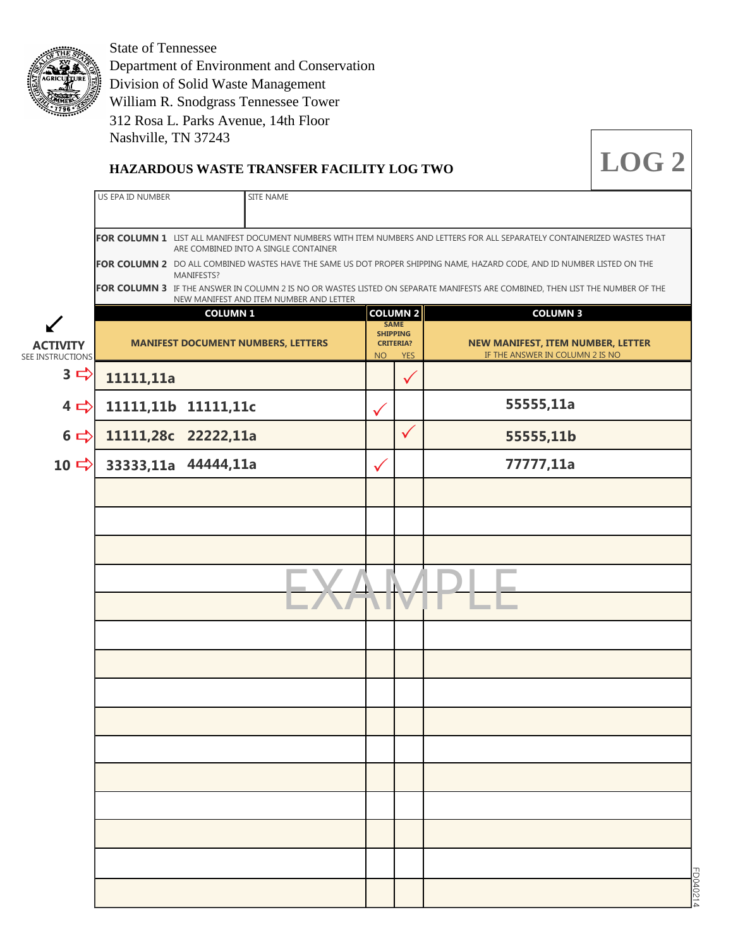

Department of Environment and Conservation Division of Solid Waste Management State of Tennessee William R. Snodgrass Tennessee Tower Nashville, TN 37243 312 Rosa L. Parks Avenue, 14th Floor

### **HAZARDOUS WASTE TRANSFER FACILITY LOG TWO**

|                                         | US EPA ID NUMBER                                                                                                                                                   | SITE NAME                                                    |                 |                                             |                                                                                                                               |  |
|-----------------------------------------|--------------------------------------------------------------------------------------------------------------------------------------------------------------------|--------------------------------------------------------------|-----------------|---------------------------------------------|-------------------------------------------------------------------------------------------------------------------------------|--|
|                                         | FOR COLUMN 1 LIST ALL MANIFEST DOCUMENT NUMBERS WITH ITEM NUMBERS AND LETTERS FOR ALL SEPARATELY CONTAINERIZED WASTES THAT<br>ARE COMBINED INTO A SINGLE CONTAINER |                                                              |                 |                                             |                                                                                                                               |  |
|                                         | MANIFESTS?                                                                                                                                                         |                                                              |                 |                                             | FOR COLUMN 2 DO ALL COMBINED WASTES HAVE THE SAME US DOT PROPER SHIPPING NAME, HAZARD CODE, AND ID NUMBER LISTED ON THE       |  |
|                                         |                                                                                                                                                                    | NEW MANIFEST AND ITEM NUMBER AND LETTER                      |                 |                                             | FOR COLUMN 3 IF THE ANSWER IN COLUMN 2 IS NO OR WASTES LISTED ON SEPARATE MANIFESTS ARE COMBINED, THEN LIST THE NUMBER OF THE |  |
| <b>ACTIVITY</b>                         |                                                                                                                                                                    | <b>COLUMN 1</b><br><b>MANIFEST DOCUMENT NUMBERS, LETTERS</b> | <b>SHIPPING</b> | COLUMN 2<br><b>SAME</b><br><b>CRITERIA?</b> | <b>COLUMN 3</b><br>NEW MANIFEST, ITEM NUMBER, LETTER                                                                          |  |
| SEE INSTRUCTIONS<br>$3 \nightharpoonup$ | 11111,11a                                                                                                                                                          |                                                              | <b>NO</b>       | <b>YES</b><br>$\checkmark$                  | IF THE ANSWER IN COLUMN 2 IS NO                                                                                               |  |
| $4 \Rightarrow$                         | 11111,11b 11111,11c                                                                                                                                                |                                                              |                 |                                             | 55555,11a                                                                                                                     |  |
| $6 \Rightarrow$                         | 11111,28c 22222,11a                                                                                                                                                |                                                              |                 | $\checkmark$                                | 55555,11b                                                                                                                     |  |
| 10 $\Rightarrow$                        | 33333,11a 44444,11a                                                                                                                                                |                                                              | $\checkmark$    |                                             | 77777,11a                                                                                                                     |  |
|                                         |                                                                                                                                                                    |                                                              |                 |                                             |                                                                                                                               |  |
|                                         |                                                                                                                                                                    |                                                              |                 |                                             |                                                                                                                               |  |
|                                         |                                                                                                                                                                    |                                                              |                 |                                             |                                                                                                                               |  |
|                                         |                                                                                                                                                                    |                                                              |                 |                                             |                                                                                                                               |  |
|                                         |                                                                                                                                                                    |                                                              |                 |                                             |                                                                                                                               |  |
|                                         |                                                                                                                                                                    |                                                              |                 |                                             |                                                                                                                               |  |
|                                         |                                                                                                                                                                    |                                                              |                 |                                             |                                                                                                                               |  |
|                                         |                                                                                                                                                                    |                                                              |                 |                                             |                                                                                                                               |  |
|                                         |                                                                                                                                                                    |                                                              |                 |                                             |                                                                                                                               |  |
|                                         |                                                                                                                                                                    |                                                              |                 |                                             |                                                                                                                               |  |
|                                         |                                                                                                                                                                    |                                                              |                 |                                             |                                                                                                                               |  |
|                                         |                                                                                                                                                                    |                                                              |                 |                                             |                                                                                                                               |  |
|                                         |                                                                                                                                                                    |                                                              |                 |                                             |                                                                                                                               |  |
|                                         |                                                                                                                                                                    |                                                              |                 |                                             |                                                                                                                               |  |

**LOG 2**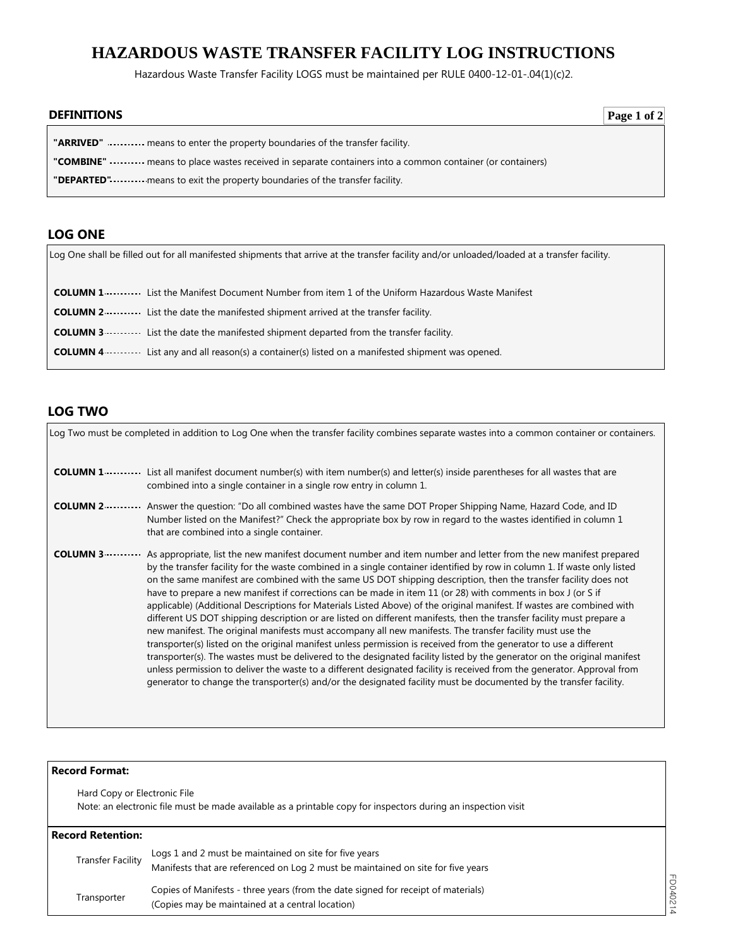# **HAZARDOUS WASTE TRANSFER FACILITY LOG INSTRUCTIONS**

Hazardous Waste Transfer Facility LOGS must be maintained per RULE 0400-12-01-.04(1)(c)2.

| <b>DEFINITIONS</b>                                                                                                 | Page 1 of 2 |
|--------------------------------------------------------------------------------------------------------------------|-------------|
| <b>"ARRIVED"</b> means to enter the property boundaries of the transfer facility.                                  |             |
| "COMBINE" ---------- means to place wastes received in separate containers into a common container (or containers) |             |
| "DEPARTED" means to exit the property boundaries of the transfer facility.                                         |             |

### **LOG ONE**

Log One shall be filled out for all manifested shipments that arrive at the transfer facility and/or unloaded/loaded at a transfer facility.

| <b>COLUMN 1</b> List the Manifest Document Number from item 1 of the Uniform Hazardous Waste Manifest             |
|-------------------------------------------------------------------------------------------------------------------|
| <b>COLUMN 2</b> ••••••••••••••• List the date the manifested shipment arrived at the transfer facility.           |
| <b>COLUMN 3</b> List the date the manifested shipment departed from the transfer facility.                        |
| <b>COLUMN 4</b> • • • • • • List any and all reason(s) a container(s) listed on a manifested shipment was opened. |

## **LOG TWO**

|                  | Log Two must be completed in addition to Log One when the transfer facility combines separate wastes into a common container or containers.                                                                                                                                                                                                                                                                                                                                                                                                                                                                                                                                                                                                                                                                                                                                                                                                                                                                                                                                                                                                                                                                                                                                                                                                                         |
|------------------|---------------------------------------------------------------------------------------------------------------------------------------------------------------------------------------------------------------------------------------------------------------------------------------------------------------------------------------------------------------------------------------------------------------------------------------------------------------------------------------------------------------------------------------------------------------------------------------------------------------------------------------------------------------------------------------------------------------------------------------------------------------------------------------------------------------------------------------------------------------------------------------------------------------------------------------------------------------------------------------------------------------------------------------------------------------------------------------------------------------------------------------------------------------------------------------------------------------------------------------------------------------------------------------------------------------------------------------------------------------------|
|                  | <b>COLUMN 1</b> ••••••••••••••• List all manifest document number(s) with item number(s) and letter(s) inside parentheses for all wastes that are<br>combined into a single container in a single row entry in column 1.                                                                                                                                                                                                                                                                                                                                                                                                                                                                                                                                                                                                                                                                                                                                                                                                                                                                                                                                                                                                                                                                                                                                            |
| <b>COLUMN 2 </b> | Answer the question: "Do all combined wastes have the same DOT Proper Shipping Name, Hazard Code, and ID<br>Number listed on the Manifest?" Check the appropriate box by row in regard to the wastes identified in column 1<br>that are combined into a single container.                                                                                                                                                                                                                                                                                                                                                                                                                                                                                                                                                                                                                                                                                                                                                                                                                                                                                                                                                                                                                                                                                           |
|                  | <b>COLUMN 3</b> As appropriate, list the new manifest document number and item number and letter from the new manifest prepared<br>by the transfer facility for the waste combined in a single container identified by row in column 1. If waste only listed<br>on the same manifest are combined with the same US DOT shipping description, then the transfer facility does not<br>have to prepare a new manifest if corrections can be made in item 11 (or 28) with comments in box J (or S if<br>applicable) (Additional Descriptions for Materials Listed Above) of the original manifest. If wastes are combined with<br>different US DOT shipping description or are listed on different manifests, then the transfer facility must prepare a<br>new manifest. The original manifests must accompany all new manifests. The transfer facility must use the<br>transporter(s) listed on the original manifest unless permission is received from the generator to use a different<br>transporter(s). The wastes must be delivered to the designated facility listed by the generator on the original manifest<br>unless permission to deliver the waste to a different designated facility is received from the generator. Approval from<br>generator to change the transporter(s) and/or the designated facility must be documented by the transfer facility. |

| <b>Record Format:</b>        |                                                                                                                                            |          |
|------------------------------|--------------------------------------------------------------------------------------------------------------------------------------------|----------|
| Hard Copy or Electronic File | Note: an electronic file must be made available as a printable copy for inspectors during an inspection visit                              |          |
| <b>Record Retention:</b>     |                                                                                                                                            |          |
| <b>Transfer Facility</b>     | Logs 1 and 2 must be maintained on site for five years<br>Manifests that are referenced on Log 2 must be maintained on site for five years |          |
| Transporter                  | Copies of Manifests - three years (from the date signed for receipt of materials)<br>(Copies may be maintained at a central location)      | FD040214 |